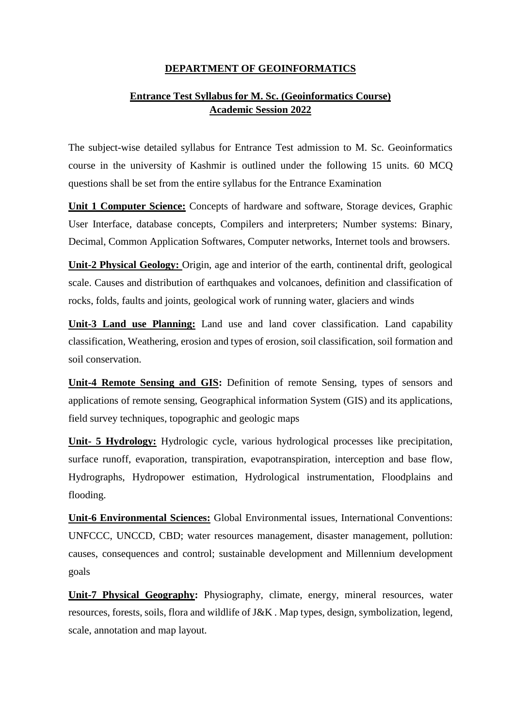## **DEPARTMENT OF GEOINFORMATICS**

## **Entrance Test Syllabus for M. Sc. (Geoinformatics Course) Academic Session 2022**

The subject-wise detailed syllabus for Entrance Test admission to M. Sc. Geoinformatics course in the university of Kashmir is outlined under the following 15 units. 60 MCQ questions shall be set from the entire syllabus for the Entrance Examination

**Unit 1 Computer Science:** Concepts of hardware and software, Storage devices, Graphic User Interface, database concepts, Compilers and interpreters; Number systems: Binary, Decimal, Common Application Softwares, Computer networks, Internet tools and browsers.

**Unit-2 Physical Geology:** Origin, age and interior of the earth, continental drift, geological scale. Causes and distribution of earthquakes and volcanoes, definition and classification of rocks, folds, faults and joints, geological work of running water, glaciers and winds

**Unit-3 Land use Planning:** Land use and land cover classification. Land capability classification, Weathering, erosion and types of erosion, soil classification, soil formation and soil conservation.

**Unit-4 Remote Sensing and GIS:** Definition of remote Sensing, types of sensors and applications of remote sensing, Geographical information System (GIS) and its applications, field survey techniques, topographic and geologic maps

**Unit- 5 Hydrology:** Hydrologic cycle, various hydrological processes like precipitation, surface runoff, evaporation, transpiration, evapotranspiration, interception and base flow, Hydrographs, Hydropower estimation, Hydrological instrumentation, Floodplains and flooding.

**Unit-6 Environmental Sciences:** Global Environmental issues, International Conventions: UNFCCC, UNCCD, CBD; water resources management, disaster management, pollution: causes, consequences and control; sustainable development and Millennium development goals

**Unit-7 Physical Geography:** Physiography, climate, energy, mineral resources, water resources, forests, soils, flora and wildlife of J&K . Map types, design, symbolization, legend, scale, annotation and map layout.